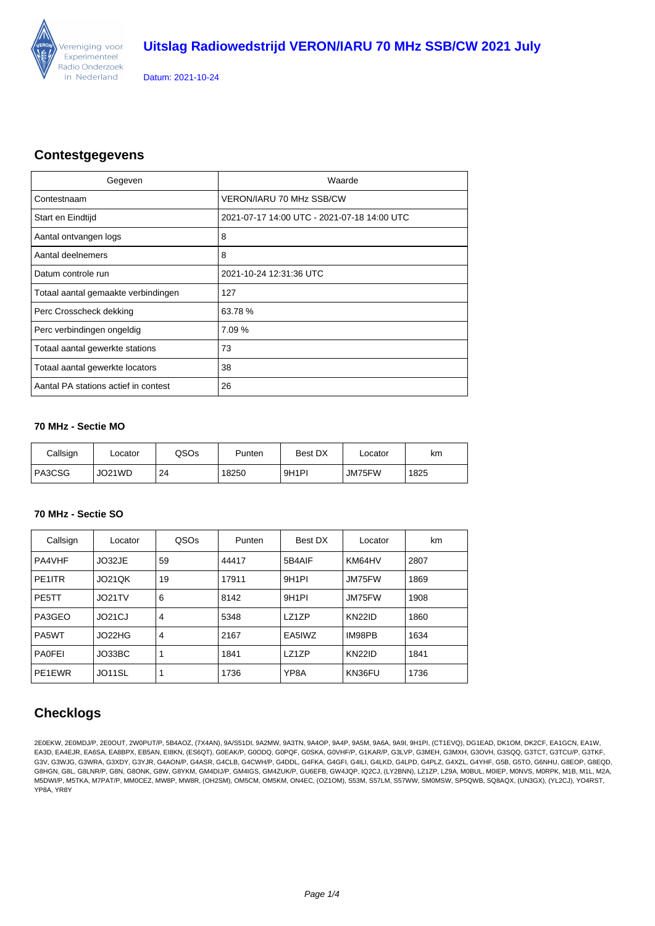

Datum: 2021-10-24

### **Contestgegevens**

| Gegeven                              | Waarde                                      |
|--------------------------------------|---------------------------------------------|
| Contestnaam                          | <b>VERON/IARU 70 MHz SSB/CW</b>             |
| Start en Eindtijd                    | 2021-07-17 14:00 UTC - 2021-07-18 14:00 UTC |
| Aantal ontvangen logs                | 8                                           |
| Aantal deelnemers                    | 8                                           |
| Datum controle run                   | 2021-10-24 12:31:36 UTC                     |
| Totaal aantal gemaakte verbindingen  | 127                                         |
| Perc Crosscheck dekking              | 63.78%                                      |
| Perc verbindingen ongeldig           | 7.09 %                                      |
| Totaal aantal gewerkte stations      | 73                                          |
| Totaal aantal gewerkte locators      | 38                                          |
| Aantal PA stations actief in contest | 26                                          |

#### **70 MHz - Sectie MO**

| Callsign | ∟ocator | QSOs | Punten | Best DX            | ∟ocator | km   |
|----------|---------|------|--------|--------------------|---------|------|
| ' PA3CSG | JO21WD  | 24   | 18250  | 9H <sub>1</sub> PI | JM75FW  | 1825 |

#### **70 MHz - Sectie SO**

| Callsign           | Locator | QSOs           | Punten | Best DX            | Locator       | km   |
|--------------------|---------|----------------|--------|--------------------|---------------|------|
| PA4VHF             | JO32JE  | 59             | 44417  | 5B4AIF             | KM64HV        | 2807 |
| PE1ITR             | JO21QK  | 19             | 17911  | 9H <sub>1</sub> PI | JM75FW        | 1869 |
| PE5TT              | JO21TV  | 6              | 8142   | 9H <sub>1</sub> PI | JM75FW        | 1908 |
| PA3GEO             | JO21CJ  | 4              | 5348   | LZ1ZP              | <b>KN22ID</b> | 1860 |
| PA <sub>5</sub> WT | JO22HG  | $\overline{4}$ | 2167   | EA5IWZ             | IM98PB        | 1634 |
| <b>PA0FEI</b>      | JO33BC  |                | 1841   | LZ1ZP              | <b>KN22ID</b> | 1841 |
| PE1EWR             | JO11SL  |                | 1736   | YP8A               | KN36FU        | 1736 |

### **Checklogs**

2E0EKW, 2E0MDJ/P, 2E0OUT, 2W0PUT/P, 5B4AOZ, (7X4AN), 9A/S51DI, 9A2MW, 9A3TN, 9A4OP, 9A4P, 9A5M, 9A6A, 9A9I, 9H1PI, (CT1EVQ), DG1EAD, DK1OM, DK2CF, EA1GCN, EA1W, EA3D, EA4EJR, EA6SA, EA8BPX, EB5AN, EI8KN, (ES6QT), G0EAK/P, G0ODQ, G0PQF, G0SKA, G0VHF/P, G1KAR/P, G3LVP, G3MEH, G3MXH, G3OVH, G3SQQ, G3TCT, G3TCU/P, G3TKF, G3V, G3WJG, G3WRA, G3XDY, G3YJR, G4AON/P, G4ASR, G4CLB, G4CWH/P, G4DDL, G4FKA, G4GFI, G4ILI, G4LKD, G4LPD, G4PLZ, G4XZL, G4YHF, G5B, G5TO, G6NHU, G8EOP, G8EQD, G8HGN, G8L, G8LNR/P, G8N, G8ONK, G8W, G8YKM, GM4DIJ/P, GM4IGS, GM4ZUK/P, GU6EFB, GW4JQP, IQ2CJ, (LY2BNN), LZ1ZP, LZ9A, M0BUL, M0IEP, M0NVS, M0RPK, M1B, M1L, M2A, M5DWI/P, M5TKA, M7PAT/P, MM0CEZ, MW8P, MW8R, (OH2SM), OM5CM, OM5KM, ON4EC, (OZ1OM), S53M, S57LM, S57WW, SM0MSW, SP5QWB, SQ8AQX, (UN3GX), (YL2CJ), YO4RST, YP8A, YR8Y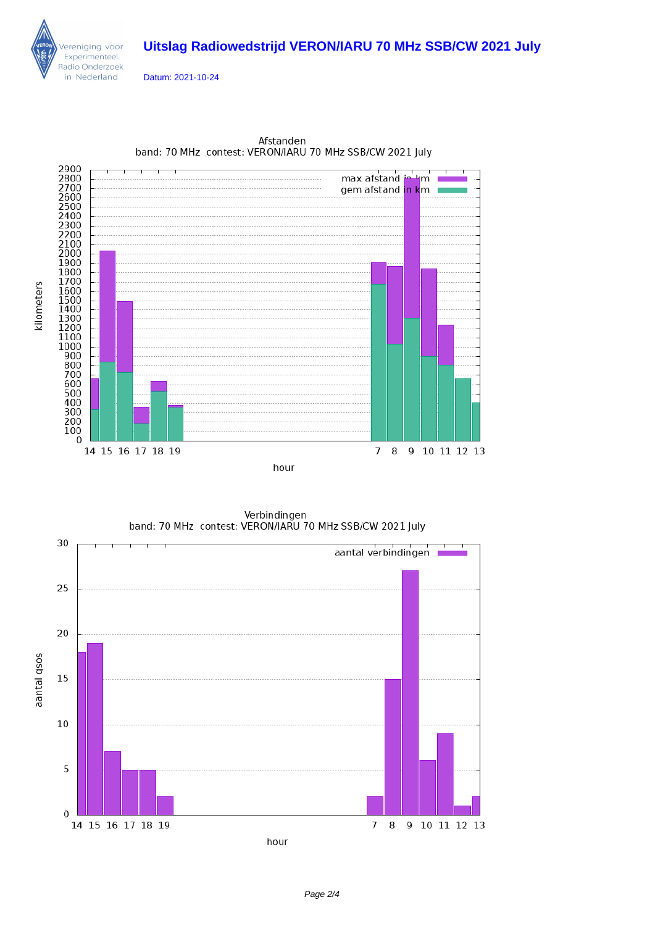## **Uitslag Radiowedstrijd VERON/IARU 70 MHz SSB/CW 2021 July**



Datum: 2021-10-24



Afstanden band: 70 MHz contest: VERON/IARU 70 MHz SSB/CW 2021 July

Verbindingen band: 70 MHz contest: VERON/IARU 70 MHz SSB/CW 2021 July

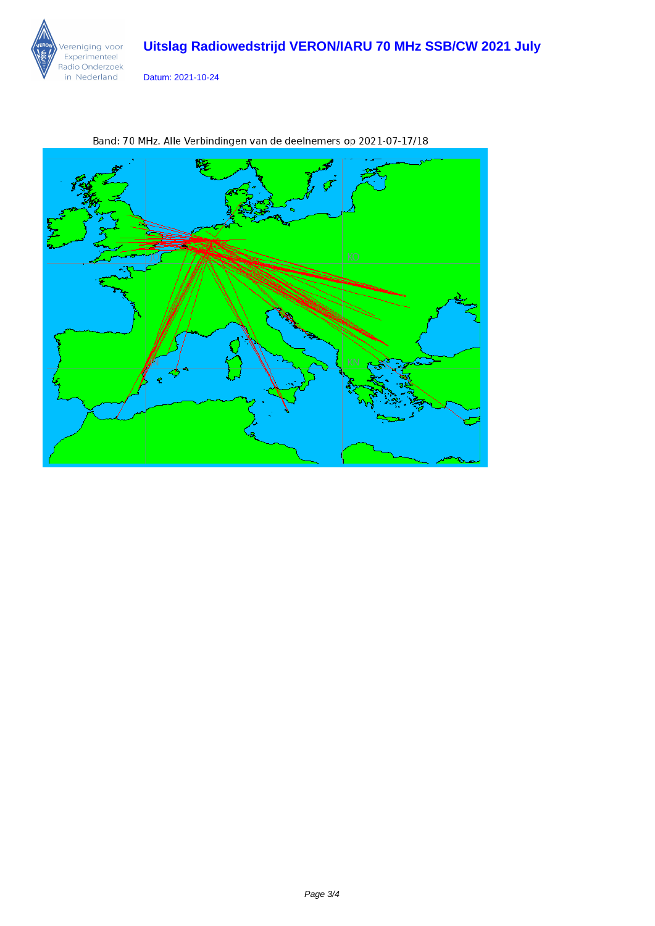## **Uitslag Radiowedstrijd VERON/IARU 70 MHz SSB/CW 2021 July**



Datum: 2021-10-24



Band: 70 MHz. Alle Verbindingen van de deelnemers op 2021-07-17/18